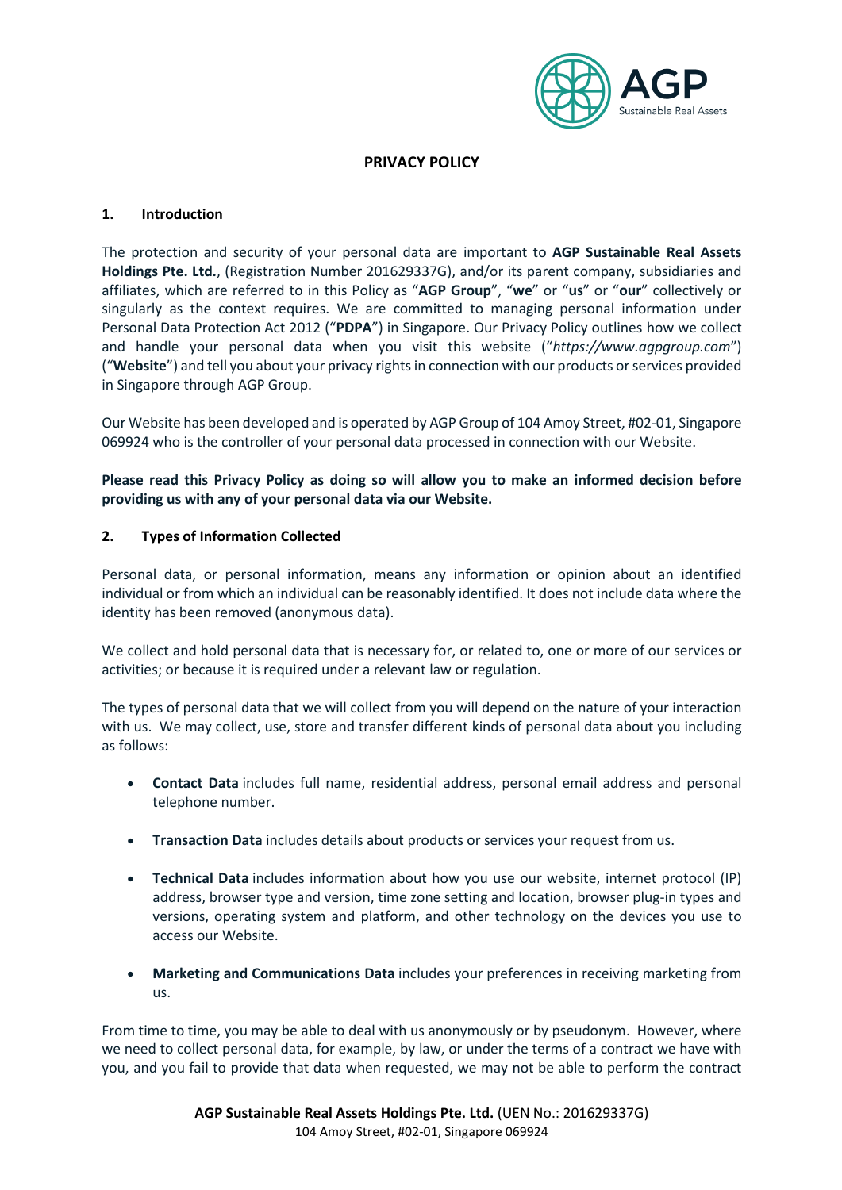

# **PRIVACY POLICY**

#### **1. Introduction**

The protection and security of your personal data are important to **AGP Sustainable Real Assets Holdings Pte. Ltd.**, (Registration Number 201629337G), and/or its parent company, subsidiaries and affiliates, which are referred to in this Policy as "**AGP Group**", "**we**" or "**us**" or "**our**" collectively or singularly as the context requires. We are committed to managing personal information under Personal Data Protection Act 2012 ("**PDPA**") in Singapore. Our Privacy Policy outlines how we collect and handle your personal data when you visit this website ("*[https://www.agpgroup.com](https://www.ampyrenergy.com/)*") ("**Website**") and tell you about your privacy rightsin connection with our products or services provided in Singapore through AGP Group.

Our Website has been developed and is operated by AGP Group of 104 Amoy Street, #02-01, Singapore 069924 who is the controller of your personal data processed in connection with our Website.

**Please read this Privacy Policy as doing so will allow you to make an informed decision before providing us with any of your personal data via our Website.**

#### **2. Types of Information Collected**

Personal data, or personal information, means any information or opinion about an identified individual or from which an individual can be reasonably identified. It does not include data where the identity has been removed (anonymous data).

We collect and hold personal data that is necessary for, or related to, one or more of our services or activities; or because it is required under a relevant law or regulation.

The types of personal data that we will collect from you will depend on the nature of your interaction with us. We may collect, use, store and transfer different kinds of personal data about you including as follows:

- **Contact Data** includes full name, residential address, personal email address and personal telephone number.
- **Transaction Data** includes details about products or services your request from us.
- **Technical Data** includes information about how you use our website, internet protocol (IP) address, browser type and version, time zone setting and location, browser plug-in types and versions, operating system and platform, and other technology on the devices you use to access our Website.
- **Marketing and Communications Data** includes your preferences in receiving marketing from us.

From time to time, you may be able to deal with us anonymously or by pseudonym. However, where we need to collect personal data, for example, by law, or under the terms of a contract we have with you, and you fail to provide that data when requested, we may not be able to perform the contract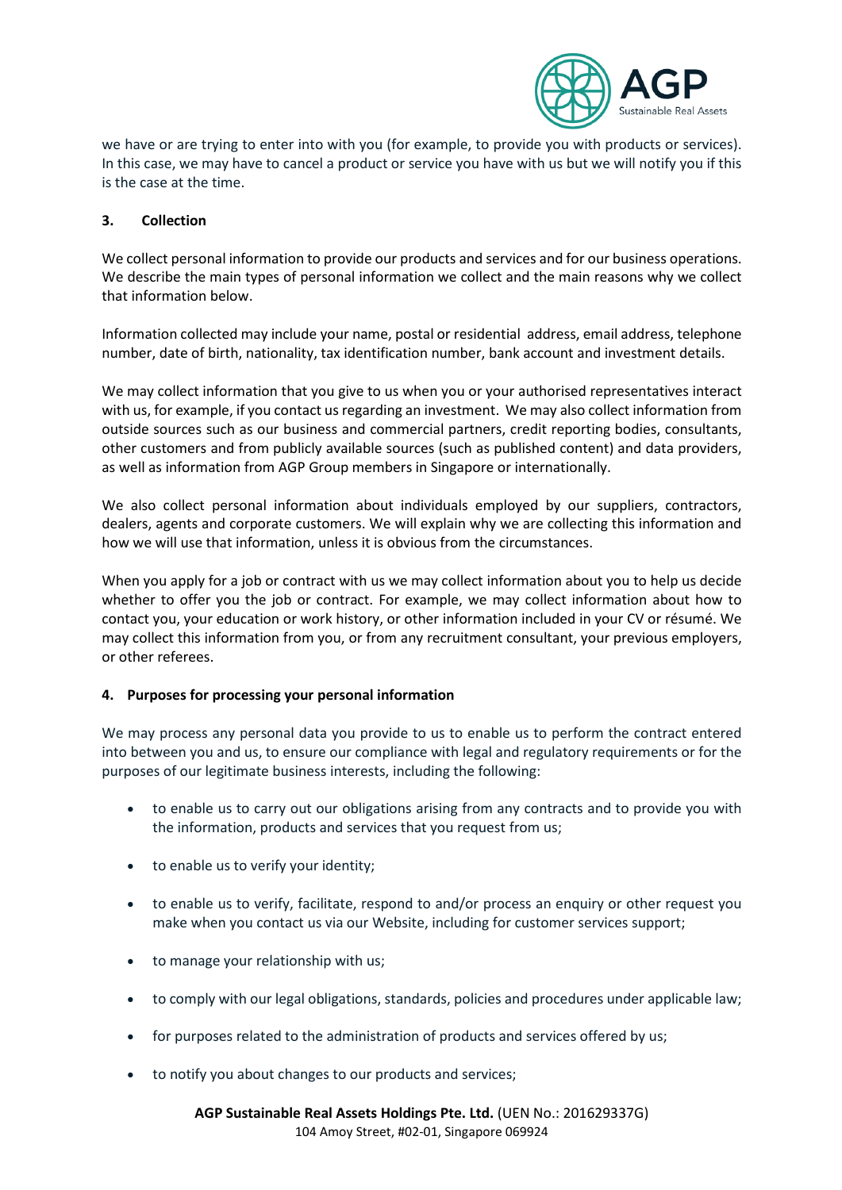

we have or are trying to enter into with you (for example, to provide you with products or services). In this case, we may have to cancel a product or service you have with us but we will notify you if this is the case at the time.

## **3. Collection**

We collect personal information to provide our products and services and for our business operations. We describe the main types of personal information we collect and the main reasons why we collect that information below.

Information collected may include your name, postal or residential address, email address, telephone number, date of birth, nationality, tax identification number, bank account and investment details.

We may collect information that you give to us when you or your authorised representatives interact with us, for example, if you contact us regarding an investment. We may also collect information from outside sources such as our business and commercial partners, credit reporting bodies, consultants, other customers and from publicly available sources (such as published content) and data providers, as well as information from AGP Group members in Singapore or internationally.

We also collect personal information about individuals employed by our suppliers, contractors, dealers, agents and corporate customers. We will explain why we are collecting this information and how we will use that information, unless it is obvious from the circumstances.

When you apply for a job or contract with us we may collect information about you to help us decide whether to offer you the job or contract. For example, we may collect information about how to contact you, your education or work history, or other information included in your CV or résumé. We may collect this information from you, or from any recruitment consultant, your previous employers, or other referees.

### **4. Purposes for processing your personal information**

We may process any personal data you provide to us to enable us to perform the contract entered into between you and us, to ensure our compliance with legal and regulatory requirements or for the purposes of our legitimate business interests, including the following:

- to enable us to carry out our obligations arising from any contracts and to provide you with the information, products and services that you request from us;
- to enable us to verify your identity;
- to enable us to verify, facilitate, respond to and/or process an enquiry or other request you make when you contact us via our Website, including for customer services support;
- to manage your relationship with us;
- to comply with our legal obligations, standards, policies and procedures under applicable law;
- for purposes related to the administration of products and services offered by us;
- to notify you about changes to our products and services;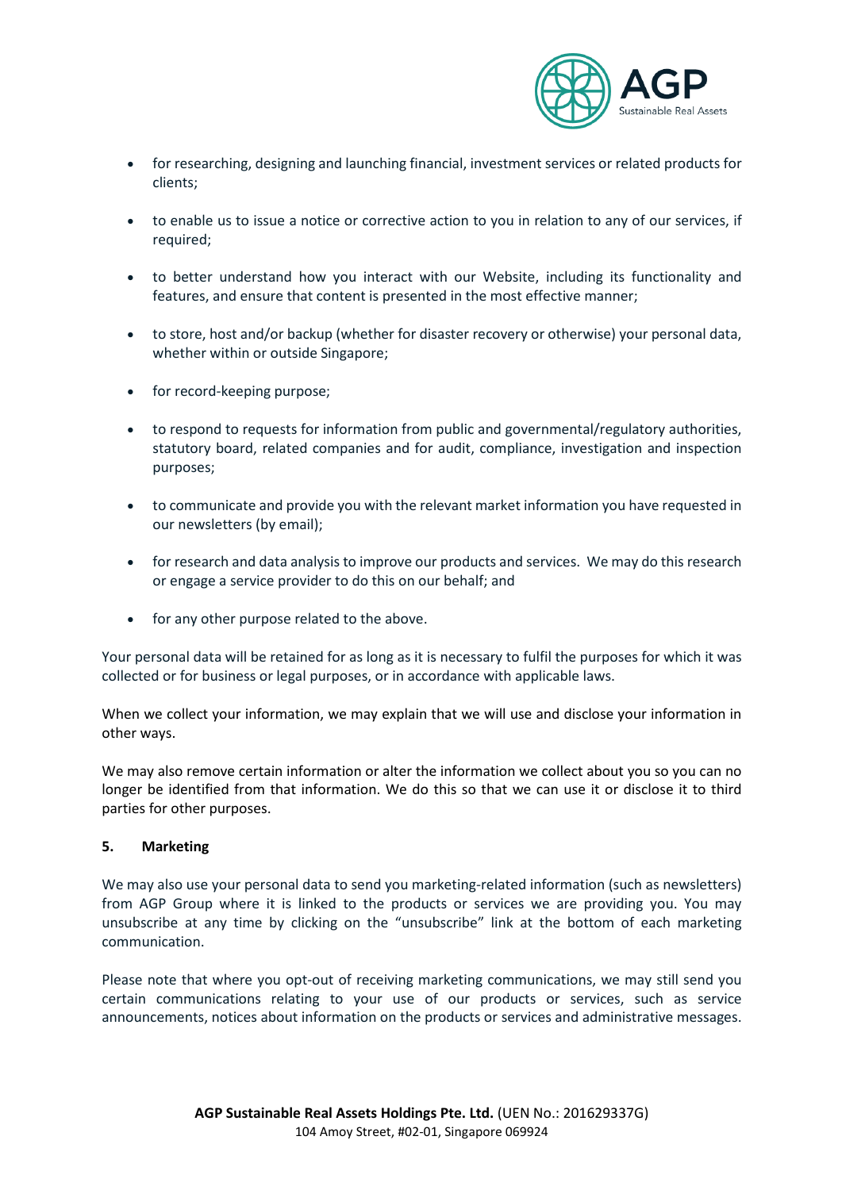

- for researching, designing and launching financial, investment services or related products for clients;
- to enable us to issue a notice or corrective action to you in relation to any of our services, if required;
- to better understand how you interact with our Website, including its functionality and features, and ensure that content is presented in the most effective manner;
- to store, host and/or backup (whether for disaster recovery or otherwise) your personal data, whether within or outside Singapore;
- for record-keeping purpose;
- to respond to requests for information from public and governmental/regulatory authorities, statutory board, related companies and for audit, compliance, investigation and inspection purposes;
- to communicate and provide you with the relevant market information you have requested in our newsletters (by email);
- for research and data analysis to improve our products and services. We may do this research or engage a service provider to do this on our behalf; and
- for any other purpose related to the above.

Your personal data will be retained for as long as it is necessary to fulfil the purposes for which it was collected or for business or legal purposes, or in accordance with applicable laws.

When we collect your information, we may explain that we will use and disclose your information in other ways.

We may also remove certain information or alter the information we collect about you so you can no longer be identified from that information. We do this so that we can use it or disclose it to third parties for other purposes.

### **5. Marketing**

We may also use your personal data to send you marketing-related information (such as newsletters) from AGP Group where it is linked to the products or services we are providing you. You may unsubscribe at any time by clicking on the "unsubscribe" link at the bottom of each marketing communication.

Please note that where you opt-out of receiving marketing communications, we may still send you certain communications relating to your use of our products or services, such as service announcements, notices about information on the products or services and administrative messages.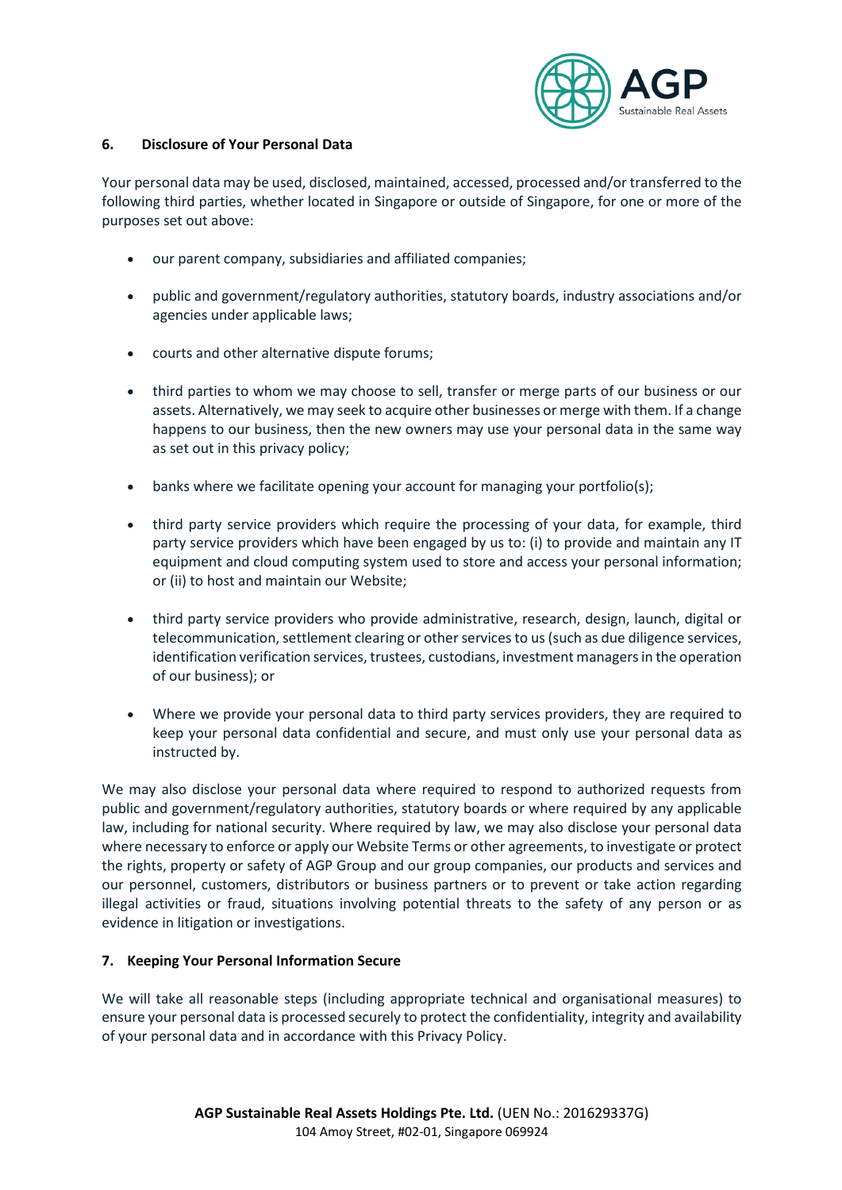

### **6. Disclosure of Your Personal Data**

Your personal data may be used, disclosed, maintained, accessed, processed and/or transferred to the following third parties, whether located in Singapore or outside of Singapore, for one or more of the purposes set out above:

- our parent company, subsidiaries and affiliated companies;
- public and government/regulatory authorities, statutory boards, industry associations and/or agencies under applicable laws;
- courts and other alternative dispute forums;
- third parties to whom we may choose to sell, transfer or merge parts of our business or our assets. Alternatively, we may seek to acquire other businesses or merge with them. If a change happens to our business, then the new owners may use your personal data in the same way as set out in this privacy policy;
- banks where we facilitate opening your account for managing your portfolio(s);
- third party service providers which require the processing of your data, for example, third party service providers which have been engaged by us to: (i) to provide and maintain any IT equipment and cloud computing system used to store and access your personal information; or (ii) to host and maintain our Website;
- third party service providers who provide administrative, research, design, launch, digital or telecommunication, settlement clearing or other services to us (such as due diligence services, identification verification services, trustees, custodians, investment managers in the operation of our business); or
- Where we provide your personal data to third party services providers, they are required to keep your personal data confidential and secure, and must only use your personal data as instructed by.

We may also disclose your personal data where required to respond to authorized requests from public and government/regulatory authorities, statutory boards or where required by any applicable law, including for national security. Where required by law, we may also disclose your personal data where necessary to enforce or apply our Website Terms or other agreements, to investigate or protect the rights, property or safety of AGP Group and our group companies, our products and services and our personnel, customers, distributors or business partners or to prevent or take action regarding illegal activities or fraud, situations involving potential threats to the safety of any person or as evidence in litigation or investigations.

### **7. Keeping Your Personal Information Secure**

We will take all reasonable steps (including appropriate technical and organisational measures) to ensure your personal data is processed securely to protect the confidentiality, integrity and availability of your personal data and in accordance with this Privacy Policy.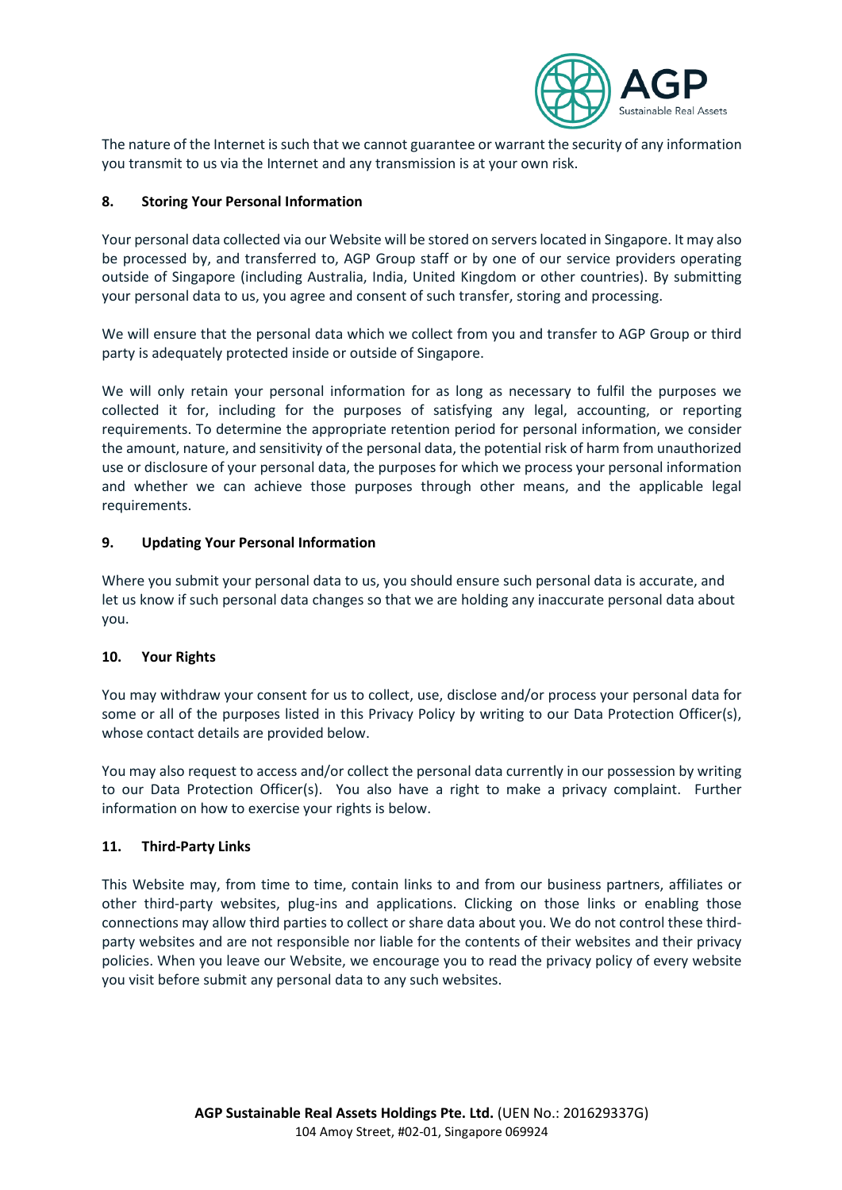

The nature of the Internet is such that we cannot guarantee or warrant the security of any information you transmit to us via the Internet and any transmission is at your own risk.

## **8. Storing Your Personal Information**

Your personal data collected via our Website will be stored on servers located in Singapore. It may also be processed by, and transferred to, AGP Group staff or by one of our service providers operating outside of Singapore (including Australia, India, United Kingdom or other countries). By submitting your personal data to us, you agree and consent of such transfer, storing and processing.

We will ensure that the personal data which we collect from you and transfer to AGP Group or third party is adequately protected inside or outside of Singapore.

We will only retain your personal information for as long as necessary to fulfil the purposes we collected it for, including for the purposes of satisfying any legal, accounting, or reporting requirements. To determine the appropriate retention period for personal information, we consider the amount, nature, and sensitivity of the personal data, the potential risk of harm from unauthorized use or disclosure of your personal data, the purposes for which we process your personal information and whether we can achieve those purposes through other means, and the applicable legal requirements.

## **9. Updating Your Personal Information**

Where you submit your personal data to us, you should ensure such personal data is accurate, and let us know if such personal data changes so that we are holding any inaccurate personal data about you.

### **10. Your Rights**

You may withdraw your consent for us to collect, use, disclose and/or process your personal data for some or all of the purposes listed in this Privacy Policy by writing to our Data Protection Officer(s), whose contact details are provided below.

You may also request to access and/or collect the personal data currently in our possession by writing to our Data Protection Officer(s). You also have a right to make a privacy complaint. Further information on how to exercise your rights is below.

### **11. Third-Party Links**

This Website may, from time to time, contain links to and from our business partners, affiliates or other third-party websites, plug-ins and applications. Clicking on those links or enabling those connections may allow third parties to collect or share data about you. We do not control these thirdparty websites and are not responsible nor liable for the contents of their websites and their privacy policies. When you leave our Website, we encourage you to read the privacy policy of every website you visit before submit any personal data to any such websites.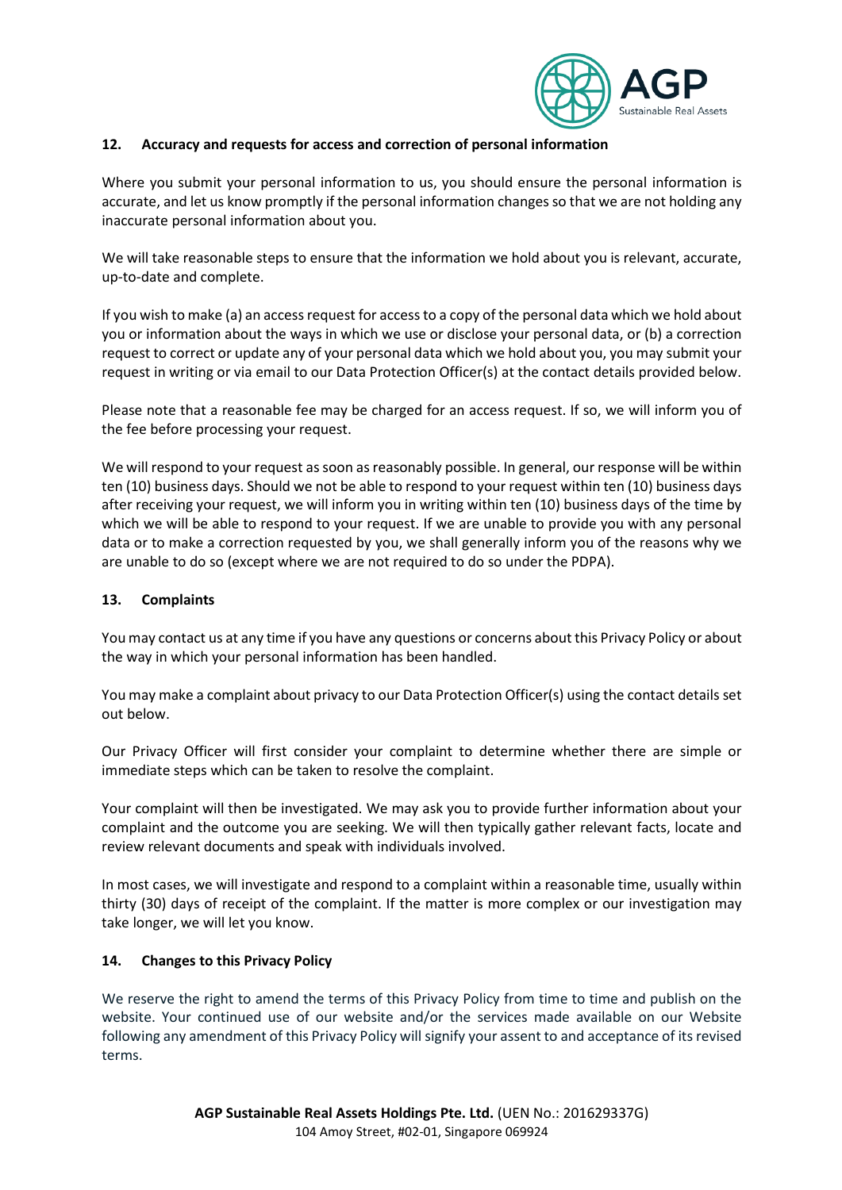

### **12. Accuracy and requests for access and correction of personal information**

Where you submit your personal information to us, you should ensure the personal information is accurate, and let us know promptly if the personal information changes so that we are not holding any inaccurate personal information about you.

We will take reasonable steps to ensure that the information we hold about you is relevant, accurate, up-to-date and complete.

If you wish to make (a) an access request for access to a copy of the personal data which we hold about you or information about the ways in which we use or disclose your personal data, or (b) a correction request to correct or update any of your personal data which we hold about you, you may submit your request in writing or via email to our Data Protection Officer(s) at the contact details provided below.

Please note that a reasonable fee may be charged for an access request. If so, we will inform you of the fee before processing your request.

We will respond to your request as soon as reasonably possible. In general, our response will be within ten (10) business days. Should we not be able to respond to your request within ten (10) business days after receiving your request, we will inform you in writing within ten (10) business days of the time by which we will be able to respond to your request. If we are unable to provide you with any personal data or to make a correction requested by you, we shall generally inform you of the reasons why we are unable to do so (except where we are not required to do so under the PDPA).

### **13. Complaints**

You may contact us at any time if you have any questions or concerns about this Privacy Policy or about the way in which your personal information has been handled.

You may make a complaint about privacy to our Data Protection Officer(s) using the contact details set out below.

Our Privacy Officer will first consider your complaint to determine whether there are simple or immediate steps which can be taken to resolve the complaint.

Your complaint will then be investigated. We may ask you to provide further information about your complaint and the outcome you are seeking. We will then typically gather relevant facts, locate and review relevant documents and speak with individuals involved.

In most cases, we will investigate and respond to a complaint within a reasonable time, usually within thirty (30) days of receipt of the complaint. If the matter is more complex or our investigation may take longer, we will let you know.

### **14. Changes to this Privacy Policy**

We reserve the right to amend the terms of this Privacy Policy from time to time and publish on the website. Your continued use of our website and/or the services made available on our Website following any amendment of this Privacy Policy will signify your assent to and acceptance of its revised terms.